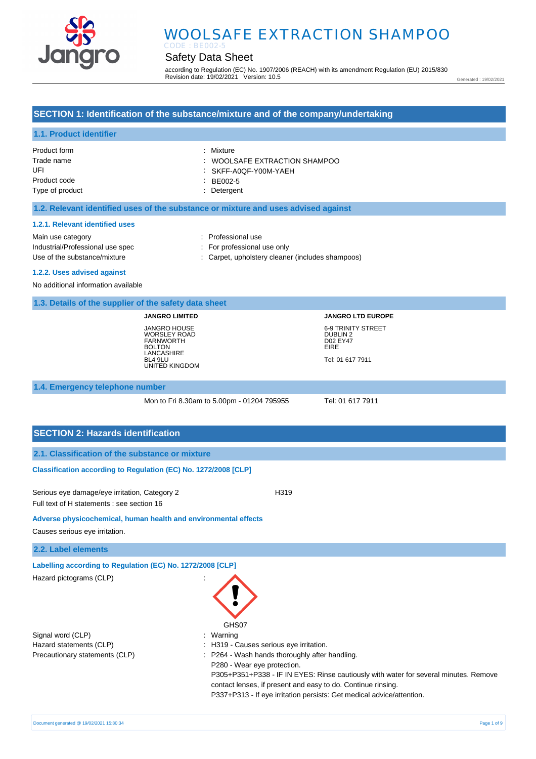

# Safety Data Sheet

according to Regulation (EC) No. 1907/2006 (REACH) with its amendment Regulation (EU) 2015/830 Revision date: 19/02/2021 Version: 10.5

Generated : 19/02/2021

## **SECTION 1: Identification of the substance/mixture and of the company/undertaking**

## **1.1. Product identifier**

| Product form    | : Mixture                                |
|-----------------|------------------------------------------|
| Trade name      | $\therefore$ WOOLSAFE EXTRACTION SHAMPOO |
| UFI             | : SKFF-A0QF-Y00M-YAEH                    |
| Product code    | $EBE002-5$                               |
| Type of product | : Detergent                              |

### **1.2. Relevant identified uses of the substance or mixture and uses advised against**

#### **1.2.1. Relevant identified uses**

Main use category **Example 20** and 20 and 20 and 20 and 20 and 20 and 20 and 20 and 20 and 20 and 20 and 20 and 20 and 20 and 20 and 20 and 20 and 20 and 20 and 20 and 20 and 20 and 20 and 20 and 20 and 20 and 20 and 20 an Industrial/Professional use spec : For professional use only

Use of the substance/mixture : Carpet, upholstery cleaner (includes shampoos)

**1.2.2. Uses advised against** 

No additional information available

### **1.3. Details of the supplier of the safety data sheet**

**JANGRO LIMITED** JANGRO HOUSE WORSLEY ROAD FARNWORTH BOLTON LANCASHIRE BL4 9LU UNITED KINGDOM

# **JANGRO LTD EUROPE** 6-9 TRINITY STREET DUBLIN 2 D02 EY47 EIRE Tel: 01 617 7911

#### **1.4. Emergency telephone number**

Mon to Fri 8.30am to 5.00pm - 01204 795955 Tel: 01 617 7911

## **SECTION 2: Hazards identification**

### **Classification according to Regulation (EC) No. 1272/2008 [CLP]**

Serious eye damage/eye irritation, Category 2 <br>
H319 Full text of H statements : see section 16

#### **Adverse physicochemical, human health and environmental effects**

Causes serious eye irritation.

### **2.2. Label elements**

**Labelling according to Regulation (EC) No. 1272/2008 [CLP]** 

| Hazard pictograms (CLP)        |                                                                                      |
|--------------------------------|--------------------------------------------------------------------------------------|
|                                | GHS07                                                                                |
| Signal word (CLP)              | Warning                                                                              |
| Hazard statements (CLP)        | : H319 - Causes serious eye irritation.                                              |
| Precautionary statements (CLP) | : P264 - Wash hands thoroughly after handling.                                       |
|                                | P280 - Wear eye protection.                                                          |
|                                | P305+P351+P338 - IF IN EYES: Rinse cautiously with water for several minutes. Remove |
|                                | contact lenses, if present and easy to do. Continue rinsing.                         |
|                                | P337+P313 - If eye irritation persists: Get medical advice/attention.                |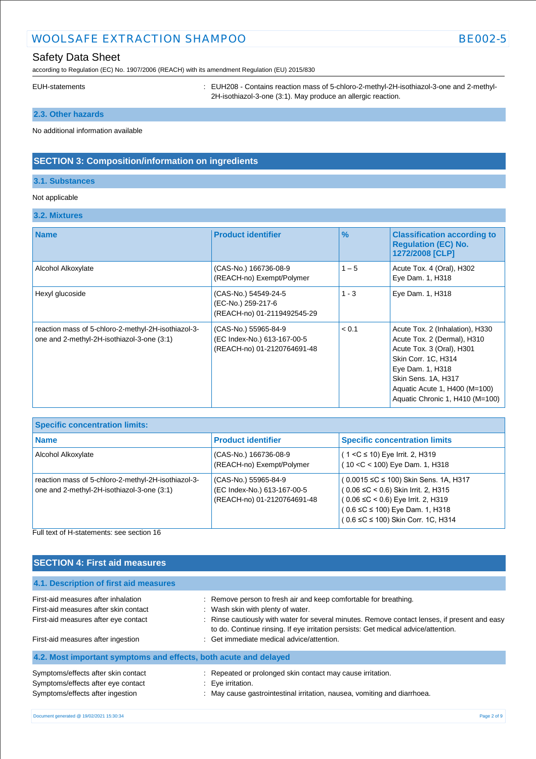# Safety Data Sheet

according to Regulation (EC) No. 1907/2006 (REACH) with its amendment Regulation (EU) 2015/830

EUH-statements **in the statements** : EUH208 - Contains reaction mass of 5-chloro-2-methyl-2H-isothiazol-3-one and 2-methyl-2H-isothiazol-3-one (3:1). May produce an allergic reaction.

# **2.3. Other hazards**

No additional information available

## **SECTION 3: Composition/information on ingredients**

## **3.1. Substances**

## Not applicable

## **3.2. Mixtures**

| <b>Name</b>                                                                                       | <b>Product identifier</b>                                                          | $\frac{9}{6}$ | <b>Classification according to</b><br><b>Requlation (EC) No.</b><br>1272/2008 [CLP]                                                                                                                                               |
|---------------------------------------------------------------------------------------------------|------------------------------------------------------------------------------------|---------------|-----------------------------------------------------------------------------------------------------------------------------------------------------------------------------------------------------------------------------------|
| Alcohol Alkoxylate                                                                                | (CAS-No.) 166736-08-9<br>(REACH-no) Exempt/Polymer                                 | $1 - 5$       | Acute Tox. 4 (Oral), H302<br>Eye Dam. 1, H318                                                                                                                                                                                     |
| Hexyl glucoside                                                                                   | (CAS-No.) 54549-24-5<br>(EC-No.) 259-217-6<br>(REACH-no) 01-2119492545-29          | $1 - 3$       | Eye Dam. 1, H318                                                                                                                                                                                                                  |
| reaction mass of 5-chloro-2-methyl-2H-isothiazol-3-<br>one and 2-methyl-2H-isothiazol-3-one (3:1) | (CAS-No.) 55965-84-9<br>(EC Index-No.) 613-167-00-5<br>(REACH-no) 01-2120764691-48 | < 0.1         | Acute Tox. 2 (Inhalation), H330<br>Acute Tox. 2 (Dermal), H310<br>Acute Tox. 3 (Oral), H301<br>Skin Corr. 1C, H314<br>Eye Dam. 1, H318<br>Skin Sens. 1A, H317<br>Aquatic Acute 1, H400 (M=100)<br>Aquatic Chronic 1, H410 (M=100) |

| <b>Specific concentration limits:</b>                                                                                                                  |                                                                                    |                                                                                                                                                                                                            |  |
|--------------------------------------------------------------------------------------------------------------------------------------------------------|------------------------------------------------------------------------------------|------------------------------------------------------------------------------------------------------------------------------------------------------------------------------------------------------------|--|
| <b>Name</b>                                                                                                                                            | <b>Product identifier</b>                                                          | <b>Specific concentration limits</b>                                                                                                                                                                       |  |
| Alcohol Alkoxylate                                                                                                                                     | (CAS-No.) 166736-08-9<br>(REACH-no) Exempt/Polymer                                 | $(1 < C \le 10)$ Eye Irrit. 2, H319<br>(10 < C < 100) Eye Dam. 1, H318                                                                                                                                     |  |
| reaction mass of 5-chloro-2-methyl-2H-isothiazol-3-<br>one and 2-methyl-2H-isothiazol-3-one (3:1)<br>Editional of the created and a content of the AA. | (CAS-No.) 55965-84-9<br>(EC Index-No.) 613-167-00-5<br>(REACH-no) 01-2120764691-48 | (0.0015 ≤C ≤ 100) Skin Sens. 1A, H317<br>(0.06 ≤C < 0.6) Skin Irrit. 2, H315<br>$(0.06 \leq C < 0.6)$ Eye Irrit. 2, H319<br>$(0.6 \leq C \leq 100)$ Eye Dam. 1, H318<br>(0.6 ≤C ≤ 100) Skin Corr. 1C, H314 |  |

Full text of H-statements: see section 16

# **SECTION 4: First aid measures**

**4.1. Description of first aid measures**

| First-aid measures after inhalation<br>First-aid measures after skin contact<br>First-aid measures after eye contact | : Remove person to fresh air and keep comfortable for breathing.<br>: Wash skin with plenty of water.<br>: Rinse cautiously with water for several minutes. Remove contact lenses, if present and easy<br>to do. Continue rinsing. If eye irritation persists: Get medical advice/attention. |
|----------------------------------------------------------------------------------------------------------------------|----------------------------------------------------------------------------------------------------------------------------------------------------------------------------------------------------------------------------------------------------------------------------------------------|
| First-aid measures after ingestion                                                                                   | : Get immediate medical advice/attention.                                                                                                                                                                                                                                                    |
| 4.2. Most important symptoms and effects, both acute and delayed                                                     |                                                                                                                                                                                                                                                                                              |
| Symptoms/effects after skin contact<br>Symptoms/effects after eye contact<br>Symptoms/effects after ingestion        | : Repeated or prolonged skin contact may cause irritation.<br>: Eye irritation.<br>: May cause gastrointestinal irritation, nausea, vomiting and diarrhoea.                                                                                                                                  |
|                                                                                                                      |                                                                                                                                                                                                                                                                                              |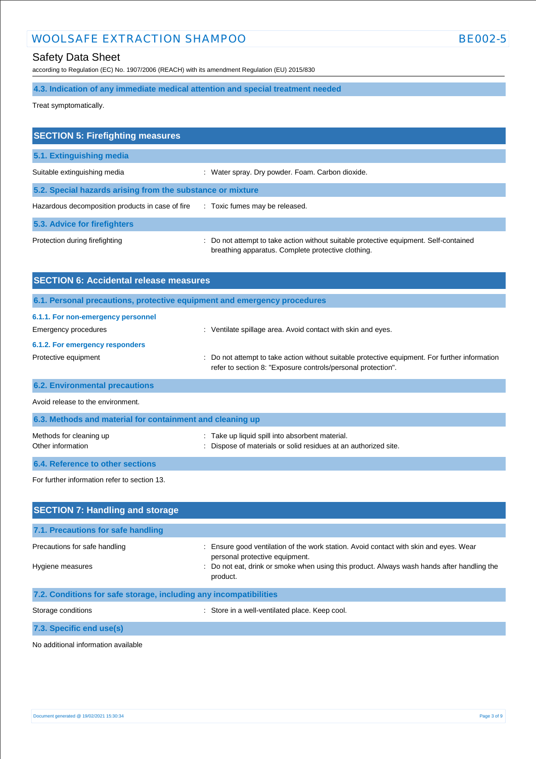# Safety Data Sheet

according to Regulation (EC) No. 1907/2006 (REACH) with its amendment Regulation (EU) 2015/830

# **4.3. Indication of any immediate medical attention and special treatment needed**

Treat symptomatically.

| <b>SECTION 5: Firefighting measures</b>                                       |                                                                                                                                             |  |  |
|-------------------------------------------------------------------------------|---------------------------------------------------------------------------------------------------------------------------------------------|--|--|
| 5.1. Extinguishing media                                                      |                                                                                                                                             |  |  |
| Suitable extinguishing media                                                  | : Water spray. Dry powder. Foam. Carbon dioxide.                                                                                            |  |  |
| 5.2. Special hazards arising from the substance or mixture                    |                                                                                                                                             |  |  |
| Hazardous decomposition products in case of fire Toxic fumes may be released. |                                                                                                                                             |  |  |
| 5.3. Advice for firefighters                                                  |                                                                                                                                             |  |  |
| Protection during firefighting                                                | : Do not attempt to take action without suitable protective equipment. Self-contained<br>breathing apparatus. Complete protective clothing. |  |  |

| <b>SECTION 6: Accidental release measures</b>                            |                                                                                                                                                              |  |  |
|--------------------------------------------------------------------------|--------------------------------------------------------------------------------------------------------------------------------------------------------------|--|--|
| 6.1. Personal precautions, protective equipment and emergency procedures |                                                                                                                                                              |  |  |
| 6.1.1. For non-emergency personnel                                       |                                                                                                                                                              |  |  |
| Emergency procedures                                                     | Ventilate spillage area. Avoid contact with skin and eyes.                                                                                                   |  |  |
| 6.1.2. For emergency responders                                          |                                                                                                                                                              |  |  |
| Protective equipment                                                     | Do not attempt to take action without suitable protective equipment. For further information<br>refer to section 8: "Exposure controls/personal protection". |  |  |
| <b>6.2. Environmental precautions</b>                                    |                                                                                                                                                              |  |  |
| Avoid release to the environment.                                        |                                                                                                                                                              |  |  |
| 6.3. Methods and material for containment and cleaning up                |                                                                                                                                                              |  |  |

| Methods for cleaning up          | : Take up liquid spill into absorbent material.                 |
|----------------------------------|-----------------------------------------------------------------|
| Other information                | : Dispose of materials or solid residues at an authorized site. |
| 6.4. Reference to other sections |                                                                 |

For further information refer to section 13.

| <b>SECTION 7: Handling and storage</b>                            |                                                                                                                         |  |  |
|-------------------------------------------------------------------|-------------------------------------------------------------------------------------------------------------------------|--|--|
| 7.1. Precautions for safe handling                                |                                                                                                                         |  |  |
| Precautions for safe handling                                     | : Ensure good ventilation of the work station. Avoid contact with skin and eyes. Wear<br>personal protective equipment. |  |  |
| Hygiene measures                                                  | : Do not eat, drink or smoke when using this product. Always wash hands after handling the<br>product.                  |  |  |
| 7.2. Conditions for safe storage, including any incompatibilities |                                                                                                                         |  |  |
| Storage conditions                                                | : Store in a well-ventilated place. Keep cool.                                                                          |  |  |

**7.3. Specific end use(s)**

No additional information available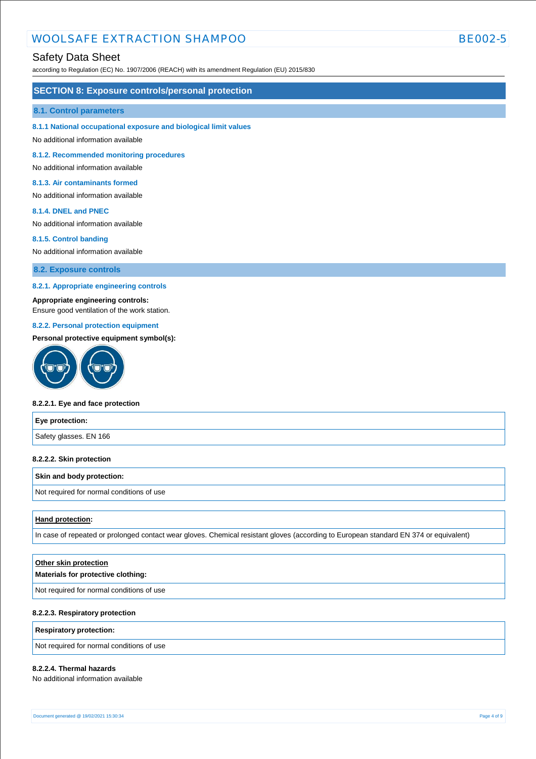## Safety Data Sheet

according to Regulation (EC) No. 1907/2006 (REACH) with its amendment Regulation (EU) 2015/830

### **SECTION 8: Exposure controls/personal protection**

#### **8.1. Control parameters**

#### **8.1.1 National occupational exposure and biological limit values**

No additional information available

**8.1.2. Recommended monitoring procedures** 

No additional information available

### **8.1.3. Air contaminants formed**

No additional information available

#### **8.1.4. DNEL and PNEC**

No additional information available

#### **8.1.5. Control banding**

No additional information available

**8.2. Exposure controls**

#### **8.2.1. Appropriate engineering controls**

### **Appropriate engineering controls:**

Ensure good ventilation of the work station.

#### **8.2.2. Personal protection equipment**

#### **Personal protective equipment symbol(s):**



## **8.2.2.1. Eye and face protection**

| Eye protection:        |  |
|------------------------|--|
| Safety glasses. EN 166 |  |

#### **8.2.2.2. Skin protection**

#### **Skin and body protection:**

Not required for normal conditions of use

#### **Hand protection:**

In case of repeated or prolonged contact wear gloves. Chemical resistant gloves (according to European standard EN 374 or equivalent)

| Other skin protection                     |  |
|-------------------------------------------|--|
| Materials for protective clothing:        |  |
| Not required for normal conditions of use |  |
| 8.2.2.3. Respiratory protection           |  |

#### **Respiratory protection:**

Not required for normal conditions of use

## **8.2.2.4. Thermal hazards**

No additional information available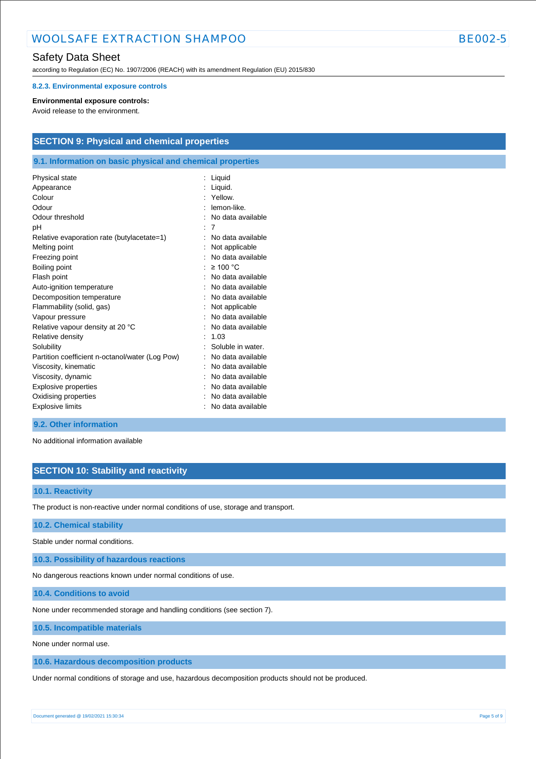according to Regulation (EC) No. 1907/2006 (REACH) with its amendment Regulation (EU) 2015/830

#### **8.2.3. Environmental exposure controls**

#### **Environmental exposure controls:**

Avoid release to the environment.

# **SECTION 9: Physical and chemical properties**

## **9.1. Information on basic physical and chemical properties**

| Physical state<br>Appearance<br>Colour<br>Odour<br>Odour threshold<br>рH                                                                   | Liquid<br>Liquid.<br>Yellow.<br>lemon-like<br>No data available<br>7<br>No data available      |
|--------------------------------------------------------------------------------------------------------------------------------------------|------------------------------------------------------------------------------------------------|
| Relative evaporation rate (butylacetate=1)<br>Melting point<br>Freezing point<br>Boiling point<br>Flash point<br>Auto-ignition temperature | Not applicable<br>No data available<br>$\geq 100$ °C<br>No data available<br>No data available |
| Decomposition temperature                                                                                                                  | No data available                                                                              |
| Flammability (solid, gas)                                                                                                                  | Not applicable                                                                                 |
| Vapour pressure                                                                                                                            | No data available                                                                              |
| Relative vapour density at 20 °C                                                                                                           | No data available                                                                              |
| Relative density                                                                                                                           | 1.03                                                                                           |
| Solubility                                                                                                                                 | Soluble in water.                                                                              |
| Partition coefficient n-octanol/water (Log Pow)                                                                                            | No data available                                                                              |
| Viscosity, kinematic                                                                                                                       | No data available                                                                              |
| Viscosity, dynamic                                                                                                                         | No data available                                                                              |
| Explosive properties                                                                                                                       | No data available                                                                              |
| Oxidising properties                                                                                                                       | No data available                                                                              |
| <b>Explosive limits</b>                                                                                                                    | No data available                                                                              |

## **9.2. Other information**

No additional information available

## **SECTION 10: Stability and reactivity**

## **10.1. Reactivity**

The product is non-reactive under normal conditions of use, storage and transport.

### **10.2. Chemical stability**

Stable under normal conditions.

**10.3. Possibility of hazardous reactions**

No dangerous reactions known under normal conditions of use.

**10.4. Conditions to avoid**

None under recommended storage and handling conditions (see section 7).

**10.5. Incompatible materials**

None under normal use.

**10.6. Hazardous decomposition products**

Under normal conditions of storage and use, hazardous decomposition products should not be produced.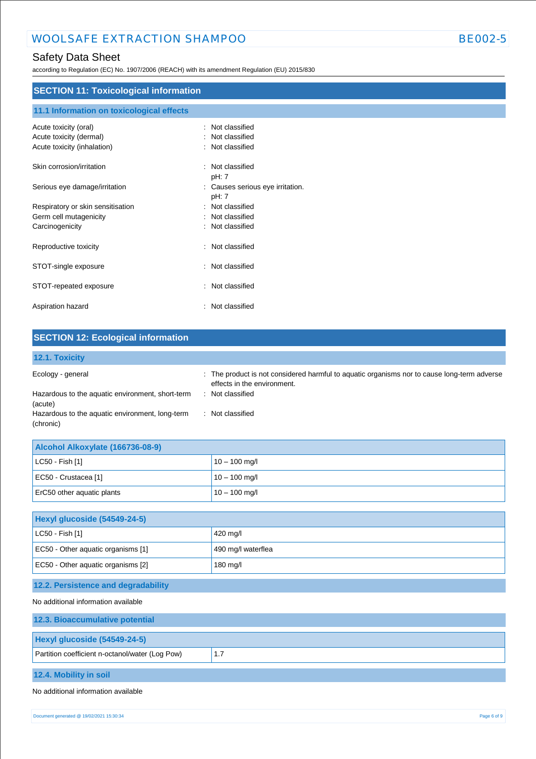according to Regulation (EC) No. 1907/2006 (REACH) with its amendment Regulation (EU) 2015/830

| <b>SECTION 11: Toxicological information</b> |                                        |  |
|----------------------------------------------|----------------------------------------|--|
|                                              |                                        |  |
| 11.1 Information on toxicological effects    |                                        |  |
| Acute toxicity (oral)                        | Not classified<br>÷                    |  |
| Acute toxicity (dermal)                      | Not classified<br>$\ddot{\phantom{a}}$ |  |
| Acute toxicity (inhalation)                  | Not classified<br>÷                    |  |
| Skin corrosion/irritation                    | : Not classified                       |  |
|                                              | pH: 7                                  |  |
| Serious eye damage/irritation                | Causes serious eye irritation.<br>÷    |  |
|                                              | pH: 7                                  |  |
| Respiratory or skin sensitisation            | Not classified<br>÷                    |  |
| Germ cell mutagenicity                       | Not classified<br>÷                    |  |
| Carcinogenicity                              | Not classified<br>÷                    |  |
| Reproductive toxicity                        | Not classified<br>÷                    |  |
|                                              |                                        |  |
| STOT-single exposure                         | Not classified<br>÷                    |  |
| STOT-repeated exposure                       | Not classified<br>÷                    |  |
|                                              |                                        |  |
| Aspiration hazard                            | : Not classified                       |  |

| <b>SECTION 12: Ecological information</b>                    |                                                                                                                            |
|--------------------------------------------------------------|----------------------------------------------------------------------------------------------------------------------------|
| 12.1. Toxicity                                               |                                                                                                                            |
| Ecology - general                                            | : The product is not considered harmful to aquatic organisms nor to cause long-term adverse<br>effects in the environment. |
| Hazardous to the aquatic environment, short-term<br>(acute)  | : Not classified                                                                                                           |
| Hazardous to the aquatic environment, long-term<br>(chronic) | Not classified                                                                                                             |

| Alcohol Alkoxylate (166736-08-9) |                 |  |
|----------------------------------|-----------------|--|
| $ $ LC50 - Fish [1]              | $10 - 100$ mg/l |  |
| EC50 - Crustacea [1]             | $10 - 100$ mg/l |  |
| ErC50 other aquatic plants       | $10 - 100$ mg/l |  |

| Hexyl glucoside (54549-24-5)       |                    |  |
|------------------------------------|--------------------|--|
| $ $ LC50 - Fish [1]                | 420 mg/l           |  |
| EC50 - Other aquatic organisms [1] | 490 mg/l waterflea |  |
| EC50 - Other aquatic organisms [2] | 180 mg/l           |  |

# **12.2. Persistence and degradability**

No additional information available

| 12.3. Bioaccumulative potential                 |     |
|-------------------------------------------------|-----|
| <b>Hexyl glucoside (54549-24-5)</b>             |     |
|                                                 |     |
| Partition coefficient n-octanol/water (Log Pow) | 1.7 |
|                                                 |     |
| 12.4. Mobility in soil                          |     |

### No additional information available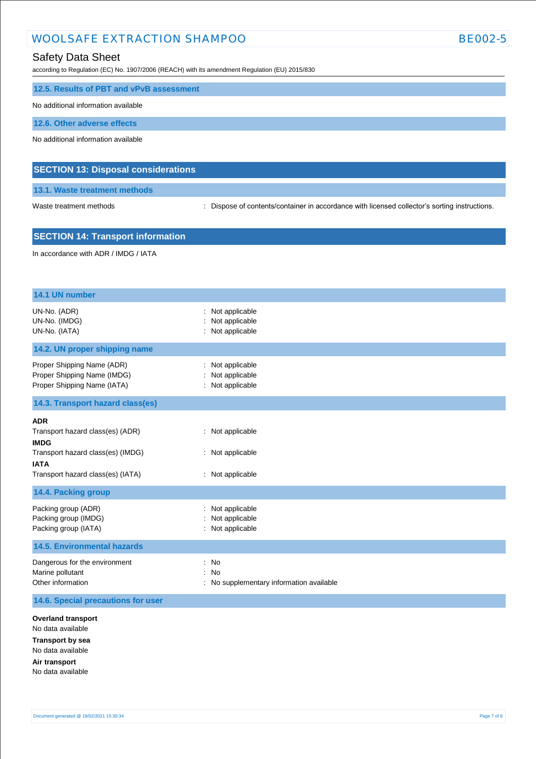according to Regulation (EC) No. 1907/2006 (REACH) with its amendment Regulation (EU) 2015/830

|  |  | 12.5. Results of PBT and vPvB assessment |  |
|--|--|------------------------------------------|--|
|--|--|------------------------------------------|--|

No additional information available

**12.6. Other adverse effects**

No additional information available

## **SECTION 13: Disposal considerations**

**13.1. Waste treatment methods**

Waste treatment methods : Dispose of contents/container in accordance with licensed collector's sorting instructions.

## **SECTION 14: Transport information**

In accordance with ADR / IMDG / IATA

| 14.1 UN number                                                                                                                                         |                                                                           |
|--------------------------------------------------------------------------------------------------------------------------------------------------------|---------------------------------------------------------------------------|
| UN-No. (ADR)<br>UN-No. (IMDG)<br>UN-No. (IATA)                                                                                                         | Not applicable<br>Not applicable<br>Not applicable                        |
| 14.2. UN proper shipping name                                                                                                                          |                                                                           |
| Proper Shipping Name (ADR)<br>Proper Shipping Name (IMDG)<br>Proper Shipping Name (IATA)                                                               | Not applicable<br>Not applicable<br>Not applicable                        |
| 14.3. Transport hazard class(es)                                                                                                                       |                                                                           |
| <b>ADR</b><br>Transport hazard class(es) (ADR)<br><b>IMDG</b><br>Transport hazard class(es) (IMDG)<br><b>IATA</b><br>Transport hazard class(es) (IATA) | : Not applicable<br>: Not applicable<br>Not applicable                    |
| 14.4. Packing group                                                                                                                                    |                                                                           |
| Packing group (ADR)<br>Packing group (IMDG)<br>Packing group (IATA)                                                                                    | Not applicable<br>Not applicable<br>Not applicable                        |
| <b>14.5. Environmental hazards</b>                                                                                                                     |                                                                           |
| Dangerous for the environment<br>Marine pollutant<br>Other information                                                                                 | No<br>÷<br><b>No</b><br>$\cdot$<br>No supplementary information available |
| 14.6. Special precautions for user                                                                                                                     |                                                                           |
| <b>Overland transport</b><br>No data available<br><b>Transport by sea</b><br>No data available<br>Air transport<br>No data available                   |                                                                           |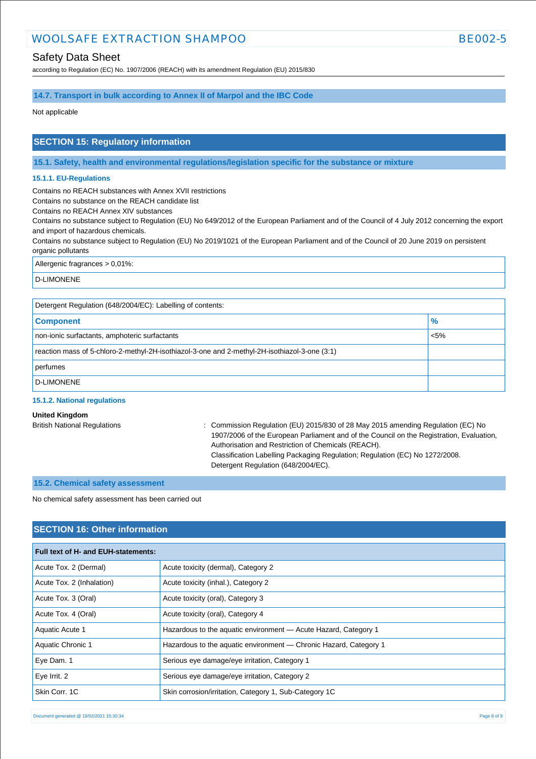## Safety Data Sheet

according to Regulation (EC) No. 1907/2006 (REACH) with its amendment Regulation (EU) 2015/830

## **14.7. Transport in bulk according to Annex II of Marpol and the IBC Code**

Not applicable

## **SECTION 15: Regulatory information**

**15.1. Safety, health and environmental regulations/legislation specific for the substance or mixture**

#### **15.1.1. EU-Regulations**

Contains no REACH substances with Annex XVII restrictions

Contains no substance on the REACH candidate list

Contains no REACH Annex XIV substances

Contains no substance subject to Regulation (EU) No 649/2012 of the European Parliament and of the Council of 4 July 2012 concerning the export and import of hazardous chemicals.

Contains no substance subject to Regulation (EU) No 2019/1021 of the European Parliament and of the Council of 20 June 2019 on persistent organic pollutants

Allergenic fragrances > 0,01%:

D-LIMONENE

| Detergent Regulation (648/2004/EC): Labelling of contents:                                    |               |  |
|-----------------------------------------------------------------------------------------------|---------------|--|
| <b>Component</b>                                                                              | $\frac{9}{6}$ |  |
| non-ionic surfactants, amphoteric surfactants                                                 | $< 5\%$       |  |
| reaction mass of 5-chloro-2-methyl-2H-isothiazol-3-one and 2-methyl-2H-isothiazol-3-one (3:1) |               |  |
| perfumes                                                                                      |               |  |
| D-LIMONENE                                                                                    |               |  |

#### **15.1.2. National regulations**

#### **United Kingdom**

British National Regulations : Commission Regulation (EU) 2015/830 of 28 May 2015 amending Regulation (EC) No 1907/2006 of the European Parliament and of the Council on the Registration, Evaluation, Authorisation and Restriction of Chemicals (REACH). Classification Labelling Packaging Regulation; Regulation (EC) No 1272/2008. Detergent Regulation (648/2004/EC).

## **15.2. Chemical safety assessment**

No chemical safety assessment has been carried out

## **SECTION 16: Other information**

| <b>Full text of H- and EUH-statements:</b> |                                                                   |
|--------------------------------------------|-------------------------------------------------------------------|
| Acute Tox. 2 (Dermal)                      | Acute toxicity (dermal), Category 2                               |
| Acute Tox. 2 (Inhalation)                  | Acute toxicity (inhal.), Category 2                               |
| Acute Tox. 3 (Oral)                        | Acute toxicity (oral), Category 3                                 |
| Acute Tox. 4 (Oral)                        | Acute toxicity (oral), Category 4                                 |
| Aquatic Acute 1                            | Hazardous to the aquatic environment - Acute Hazard, Category 1   |
| Aquatic Chronic 1                          | Hazardous to the aquatic environment - Chronic Hazard, Category 1 |
| Eye Dam. 1                                 | Serious eye damage/eye irritation, Category 1                     |
| $Eye$ Irrit. 2                             | Serious eye damage/eye irritation, Category 2                     |
| Skin Corr, 1C                              | Skin corrosion/irritation, Category 1, Sub-Category 1C            |